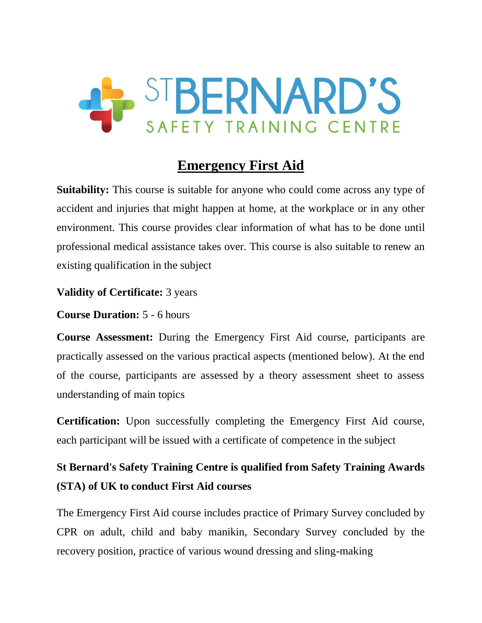

# **Emergency First Aid**

**Suitability:** This course is suitable for anyone who could come across any type of accident and injuries that might happen at home, at the workplace or in any other environment. This course provides clear information of what has to be done until professional medical assistance takes over. This course is also suitable to renew an existing qualification in the subject

### **Validity of Certificate:** 3 years

**Course Duration:** 5 - 6 hours

**Course Assessment:** During the Emergency First Aid course, participants are practically assessed on the various practical aspects (mentioned below). At the end of the course, participants are assessed by a theory assessment sheet to assess understanding of main topics

**Certification:** Upon successfully completing the Emergency First Aid course, each participant will be issued with a certificate of competence in the subject

# **St Bernard's Safety Training Centre is qualified from Safety Training Awards (STA) of UK to conduct First Aid courses**

The Emergency First Aid course includes practice of Primary Survey concluded by CPR on adult, child and baby manikin, Secondary Survey concluded by the recovery position, practice of various wound dressing and sling-making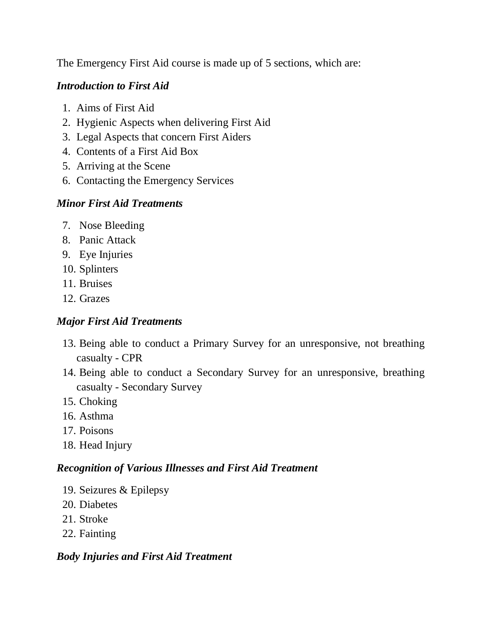The Emergency First Aid course is made up of 5 sections, which are:

# *Introduction to First Aid*

- 1. Aims of First Aid
- 2. Hygienic Aspects when delivering First Aid
- 3. Legal Aspects that concern First Aiders
- 4. Contents of a First Aid Box
- 5. Arriving at the Scene
- 6. Contacting the Emergency Services

## *Minor First Aid Treatments*

- 7. Nose Bleeding
- 8. Panic Attack
- 9. Eye Injuries
- 10. Splinters
- 11. Bruises
- 12. Grazes

# *Major First Aid Treatments*

- 13. Being able to conduct a Primary Survey for an unresponsive, not breathing casualty - CPR
- 14. Being able to conduct a Secondary Survey for an unresponsive, breathing casualty - Secondary Survey
- 15. Choking
- 16. Asthma
- 17. Poisons
- 18. Head Injury

### *Recognition of Various Illnesses and First Aid Treatment*

- 19. Seizures & Epilepsy
- 20. Diabetes
- 21. Stroke
- 22. Fainting

### *Body Injuries and First Aid Treatment*